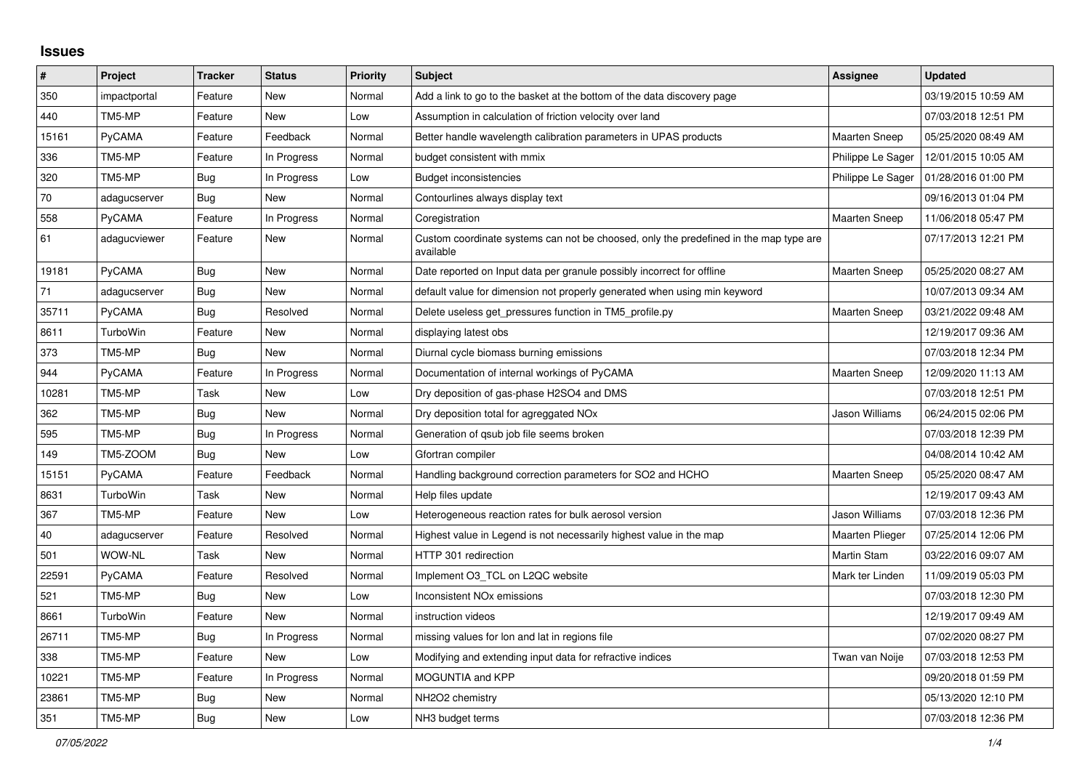## **Issues**

| $\vert$ # | Project       | <b>Tracker</b> | <b>Status</b> | <b>Priority</b> | <b>Subject</b>                                                                                     | <b>Assignee</b>        | <b>Updated</b>      |
|-----------|---------------|----------------|---------------|-----------------|----------------------------------------------------------------------------------------------------|------------------------|---------------------|
| 350       | impactportal  | Feature        | <b>New</b>    | Normal          | Add a link to go to the basket at the bottom of the data discovery page                            |                        | 03/19/2015 10:59 AM |
| 440       | TM5-MP        | Feature        | <b>New</b>    | Low             | Assumption in calculation of friction velocity over land                                           |                        | 07/03/2018 12:51 PM |
| 15161     | PyCAMA        | Feature        | Feedback      | Normal          | Better handle wavelength calibration parameters in UPAS products                                   | <b>Maarten Sneep</b>   | 05/25/2020 08:49 AM |
| 336       | TM5-MP        | Feature        | In Progress   | Normal          | budget consistent with mmix                                                                        | Philippe Le Sager      | 12/01/2015 10:05 AM |
| 320       | TM5-MP        | <b>Bug</b>     | In Progress   | Low             | <b>Budget inconsistencies</b>                                                                      | Philippe Le Sager      | 01/28/2016 01:00 PM |
| 70        | adagucserver  | <b>Bug</b>     | New           | Normal          | Contourlines always display text                                                                   |                        | 09/16/2013 01:04 PM |
| 558       | PyCAMA        | Feature        | In Progress   | Normal          | Coregistration                                                                                     | Maarten Sneep          | 11/06/2018 05:47 PM |
| 61        | adagucviewer  | Feature        | <b>New</b>    | Normal          | Custom coordinate systems can not be choosed, only the predefined in the map type are<br>available |                        | 07/17/2013 12:21 PM |
| 19181     | <b>PyCAMA</b> | Bug            | <b>New</b>    | Normal          | Date reported on Input data per granule possibly incorrect for offline                             | <b>Maarten Sneep</b>   | 05/25/2020 08:27 AM |
| 71        | adagucserver  | Bug            | <b>New</b>    | Normal          | default value for dimension not properly generated when using min keyword                          |                        | 10/07/2013 09:34 AM |
| 35711     | PyCAMA        | Bug            | Resolved      | Normal          | Delete useless get_pressures function in TM5_profile.py                                            | <b>Maarten Sneep</b>   | 03/21/2022 09:48 AM |
| 8611      | TurboWin      | Feature        | New           | Normal          | displaying latest obs                                                                              |                        | 12/19/2017 09:36 AM |
| 373       | TM5-MP        | Bug            | <b>New</b>    | Normal          | Diurnal cycle biomass burning emissions                                                            |                        | 07/03/2018 12:34 PM |
| 944       | PyCAMA        | Feature        | In Progress   | Normal          | Documentation of internal workings of PyCAMA                                                       | <b>Maarten Sneep</b>   | 12/09/2020 11:13 AM |
| 10281     | TM5-MP        | Task           | New           | Low             | Dry deposition of gas-phase H2SO4 and DMS                                                          |                        | 07/03/2018 12:51 PM |
| 362       | TM5-MP        | Bug            | New           | Normal          | Dry deposition total for agreggated NO <sub>x</sub>                                                | Jason Williams         | 06/24/2015 02:06 PM |
| 595       | TM5-MP        | Bug            | In Progress   | Normal          | Generation of gsub job file seems broken                                                           |                        | 07/03/2018 12:39 PM |
| 149       | TM5-ZOOM      | Bug            | <b>New</b>    | Low             | Gfortran compiler                                                                                  |                        | 04/08/2014 10:42 AM |
| 15151     | PyCAMA        | Feature        | Feedback      | Normal          | Handling background correction parameters for SO2 and HCHO                                         | <b>Maarten Sneep</b>   | 05/25/2020 08:47 AM |
| 8631      | TurboWin      | Task           | <b>New</b>    | Normal          | Help files update                                                                                  |                        | 12/19/2017 09:43 AM |
| 367       | TM5-MP        | Feature        | <b>New</b>    | Low             | Heterogeneous reaction rates for bulk aerosol version                                              | Jason Williams         | 07/03/2018 12:36 PM |
| 40        | adagucserver  | Feature        | Resolved      | Normal          | Highest value in Legend is not necessarily highest value in the map                                | <b>Maarten Plieger</b> | 07/25/2014 12:06 PM |
| 501       | WOW-NL        | Task           | <b>New</b>    | Normal          | HTTP 301 redirection                                                                               | <b>Martin Stam</b>     | 03/22/2016 09:07 AM |
| 22591     | PyCAMA        | Feature        | Resolved      | Normal          | Implement O3 TCL on L2QC website                                                                   | Mark ter Linden        | 11/09/2019 05:03 PM |
| 521       | TM5-MP        | <b>Bug</b>     | <b>New</b>    | Low             | <b>Inconsistent NOx emissions</b>                                                                  |                        | 07/03/2018 12:30 PM |
| 8661      | TurboWin      | Feature        | <b>New</b>    | Normal          | instruction videos                                                                                 |                        | 12/19/2017 09:49 AM |
| 26711     | TM5-MP        | <b>Bug</b>     | In Progress   | Normal          | missing values for lon and lat in regions file                                                     |                        | 07/02/2020 08:27 PM |
| 338       | TM5-MP        | Feature        | <b>New</b>    | Low             | Modifying and extending input data for refractive indices                                          | Twan van Noije         | 07/03/2018 12:53 PM |
| 10221     | TM5-MP        | Feature        | In Progress   | Normal          | <b>MOGUNTIA and KPP</b>                                                                            |                        | 09/20/2018 01:59 PM |
| 23861     | TM5-MP        | Bug            | <b>New</b>    | Normal          | NH2O2 chemistry                                                                                    |                        | 05/13/2020 12:10 PM |
| 351       | TM5-MP        | Bug            | New           | Low             | NH3 budget terms                                                                                   |                        | 07/03/2018 12:36 PM |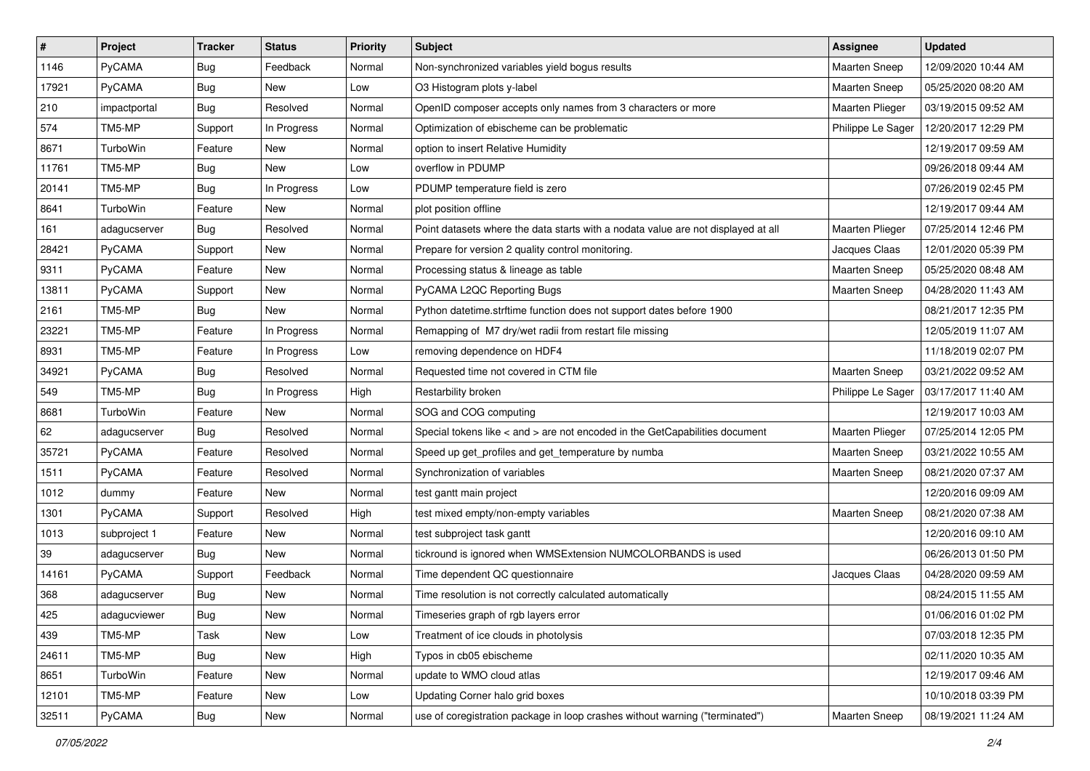| $\sharp$ | Project       | <b>Tracker</b> | <b>Status</b> | <b>Priority</b> | <b>Subject</b>                                                                      | Assignee             | <b>Updated</b>      |
|----------|---------------|----------------|---------------|-----------------|-------------------------------------------------------------------------------------|----------------------|---------------------|
| 1146     | PyCAMA        | Bug            | Feedback      | Normal          | Non-synchronized variables yield bogus results                                      | Maarten Sneep        | 12/09/2020 10:44 AM |
| 17921    | <b>PyCAMA</b> | <b>Bug</b>     | <b>New</b>    | Low             | O3 Histogram plots y-label                                                          | <b>Maarten Sneep</b> | 05/25/2020 08:20 AM |
| 210      | impactportal  | <b>Bug</b>     | Resolved      | Normal          | OpenID composer accepts only names from 3 characters or more                        | Maarten Plieger      | 03/19/2015 09:52 AM |
| 574      | TM5-MP        | Support        | In Progress   | Normal          | Optimization of ebischeme can be problematic                                        | Philippe Le Sager    | 12/20/2017 12:29 PM |
| 8671     | TurboWin      | Feature        | <b>New</b>    | Normal          | option to insert Relative Humidity                                                  |                      | 12/19/2017 09:59 AM |
| 11761    | TM5-MP        | <b>Bug</b>     | New           | Low             | overflow in PDUMP                                                                   |                      | 09/26/2018 09:44 AM |
| 20141    | TM5-MP        | <b>Bug</b>     | In Progress   | Low             | PDUMP temperature field is zero                                                     |                      | 07/26/2019 02:45 PM |
| 8641     | TurboWin      | Feature        | New           | Normal          | plot position offline                                                               |                      | 12/19/2017 09:44 AM |
| 161      | adagucserver  | Bug            | Resolved      | Normal          | Point datasets where the data starts with a nodata value are not displayed at all   | Maarten Plieger      | 07/25/2014 12:46 PM |
| 28421    | <b>PyCAMA</b> | Support        | New           | Normal          | Prepare for version 2 quality control monitoring.                                   | Jacques Claas        | 12/01/2020 05:39 PM |
| 9311     | <b>PyCAMA</b> | Feature        | New           | Normal          | Processing status & lineage as table                                                | Maarten Sneep        | 05/25/2020 08:48 AM |
| 13811    | PyCAMA        | Support        | New           | Normal          | PyCAMA L2QC Reporting Bugs                                                          | <b>Maarten Sneep</b> | 04/28/2020 11:43 AM |
| 2161     | TM5-MP        | <b>Bug</b>     | New           | Normal          | Python datetime.strftime function does not support dates before 1900                |                      | 08/21/2017 12:35 PM |
| 23221    | TM5-MP        | Feature        | In Progress   | Normal          | Remapping of M7 dry/wet radii from restart file missing                             |                      | 12/05/2019 11:07 AM |
| 8931     | TM5-MP        | Feature        | In Progress   | Low             | removing dependence on HDF4                                                         |                      | 11/18/2019 02:07 PM |
| 34921    | PyCAMA        | <b>Bug</b>     | Resolved      | Normal          | Requested time not covered in CTM file                                              | Maarten Sneep        | 03/21/2022 09:52 AM |
| 549      | TM5-MP        | <b>Bug</b>     | In Progress   | High            | Restarbility broken                                                                 | Philippe Le Sager    | 03/17/2017 11:40 AM |
| 8681     | TurboWin      | Feature        | <b>New</b>    | Normal          | SOG and COG computing                                                               |                      | 12/19/2017 10:03 AM |
| 62       | adagucserver  | <b>Bug</b>     | Resolved      | Normal          | Special tokens like $\lt$ and $\gt$ are not encoded in the GetCapabilities document | Maarten Plieger      | 07/25/2014 12:05 PM |
| 35721    | <b>PyCAMA</b> | Feature        | Resolved      | Normal          | Speed up get_profiles and get_temperature by numba                                  | Maarten Sneep        | 03/21/2022 10:55 AM |
| 1511     | <b>PyCAMA</b> | Feature        | Resolved      | Normal          | Synchronization of variables                                                        | <b>Maarten Sneep</b> | 08/21/2020 07:37 AM |
| 1012     | dummy         | Feature        | New           | Normal          | test gantt main project                                                             |                      | 12/20/2016 09:09 AM |
| 1301     | PyCAMA        | Support        | Resolved      | High            | test mixed empty/non-empty variables                                                | <b>Maarten Sneep</b> | 08/21/2020 07:38 AM |
| 1013     | subproject 1  | Feature        | New           | Normal          | test subproject task gantt                                                          |                      | 12/20/2016 09:10 AM |
| 39       | adagucserver  | <b>Bug</b>     | New           | Normal          | tickround is ignored when WMSExtension NUMCOLORBANDS is used                        |                      | 06/26/2013 01:50 PM |
| 14161    | PyCAMA        | Support        | Feedback      | Normal          | Time dependent QC questionnaire                                                     | Jacques Claas        | 04/28/2020 09:59 AM |
| 368      | adagucserver  | <b>Bug</b>     | New           | Normal          | Time resolution is not correctly calculated automatically                           |                      | 08/24/2015 11:55 AM |
| 425      | adagucviewer  | Bug            | New           | Normal          | Timeseries graph of rgb layers error                                                |                      | 01/06/2016 01:02 PM |
| 439      | TM5-MP        | Task           | New           | Low             | Treatment of ice clouds in photolysis                                               |                      | 07/03/2018 12:35 PM |
| 24611    | TM5-MP        | Bug            | New           | High            | Typos in cb05 ebischeme                                                             |                      | 02/11/2020 10:35 AM |
| 8651     | TurboWin      | Feature        | New           | Normal          | update to WMO cloud atlas                                                           |                      | 12/19/2017 09:46 AM |
| 12101    | TM5-MP        | Feature        | New           | Low             | Updating Corner halo grid boxes                                                     |                      | 10/10/2018 03:39 PM |
| 32511    | PyCAMA        | <b>Bug</b>     | New           | Normal          | use of coregistration package in loop crashes without warning ("terminated")        | <b>Maarten Sneep</b> | 08/19/2021 11:24 AM |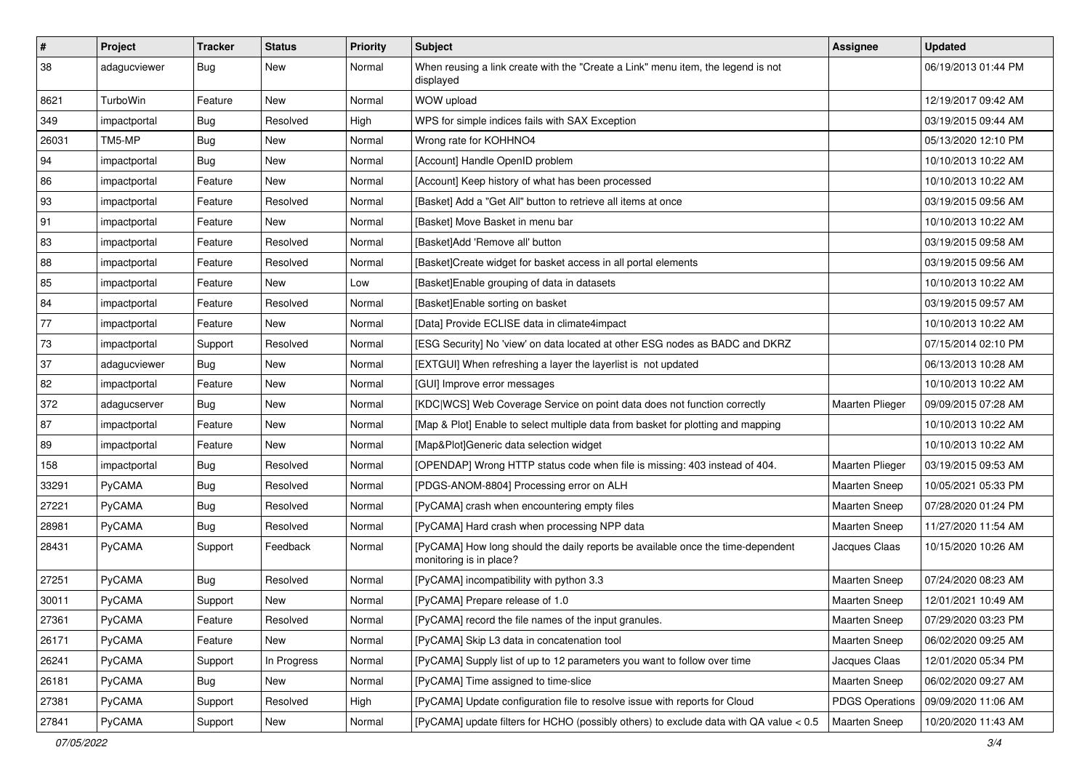| $\pmb{\#}$ | Project         | <b>Tracker</b> | <b>Status</b> | <b>Priority</b> | <b>Subject</b>                                                                                             | <b>Assignee</b>        | <b>Updated</b>      |
|------------|-----------------|----------------|---------------|-----------------|------------------------------------------------------------------------------------------------------------|------------------------|---------------------|
| 38         | adagucviewer    | <b>Bug</b>     | New           | Normal          | When reusing a link create with the "Create a Link" menu item, the legend is not<br>displayed              |                        | 06/19/2013 01:44 PM |
| 8621       | <b>TurboWin</b> | Feature        | New           | Normal          | WOW upload                                                                                                 |                        | 12/19/2017 09:42 AM |
| 349        | impactportal    | Bug            | Resolved      | High            | WPS for simple indices fails with SAX Exception                                                            |                        | 03/19/2015 09:44 AM |
| 26031      | TM5-MP          | <b>Bug</b>     | New           | Normal          | Wrong rate for KOHHNO4                                                                                     |                        | 05/13/2020 12:10 PM |
| 94         | impactportal    | <b>Bug</b>     | New           | Normal          | [Account] Handle OpenID problem                                                                            |                        | 10/10/2013 10:22 AM |
| 86         | impactportal    | Feature        | <b>New</b>    | Normal          | [Account] Keep history of what has been processed                                                          |                        | 10/10/2013 10:22 AM |
| 93         | impactportal    | Feature        | Resolved      | Normal          | [Basket] Add a "Get All" button to retrieve all items at once                                              |                        | 03/19/2015 09:56 AM |
| 91         | impactportal    | Feature        | New           | Normal          | [Basket] Move Basket in menu bar                                                                           |                        | 10/10/2013 10:22 AM |
| 83         | impactportal    | Feature        | Resolved      | Normal          | [Basket]Add 'Remove all' button                                                                            |                        | 03/19/2015 09:58 AM |
| 88         | impactportal    | Feature        | Resolved      | Normal          | [Basket]Create widget for basket access in all portal elements                                             |                        | 03/19/2015 09:56 AM |
| 85         | impactportal    | Feature        | New           | Low             | [Basket] Enable grouping of data in datasets                                                               |                        | 10/10/2013 10:22 AM |
| 84         | impactportal    | Feature        | Resolved      | Normal          | [Basket]Enable sorting on basket                                                                           |                        | 03/19/2015 09:57 AM |
| 77         | impactportal    | Feature        | New           | Normal          | [Data] Provide ECLISE data in climate4impact                                                               |                        | 10/10/2013 10:22 AM |
| 73         | impactportal    | Support        | Resolved      | Normal          | [ESG Security] No 'view' on data located at other ESG nodes as BADC and DKRZ                               |                        | 07/15/2014 02:10 PM |
| 37         | adaqucviewer    | Bug            | New           | Normal          | [EXTGUI] When refreshing a layer the layerlist is not updated                                              |                        | 06/13/2013 10:28 AM |
| 82         | impactportal    | Feature        | New           | Normal          | [GUI] Improve error messages                                                                               |                        | 10/10/2013 10:22 AM |
| 372        | adagucserver    | Bug            | <b>New</b>    | Normal          | [KDC WCS] Web Coverage Service on point data does not function correctly                                   | <b>Maarten Plieger</b> | 09/09/2015 07:28 AM |
| 87         | impactportal    | Feature        | New           | Normal          | [Map & Plot] Enable to select multiple data from basket for plotting and mapping                           |                        | 10/10/2013 10:22 AM |
| 89         | impactportal    | Feature        | New           | Normal          | [Map&Plot]Generic data selection widget                                                                    |                        | 10/10/2013 10:22 AM |
| 158        | impactportal    | Bug            | Resolved      | Normal          | [OPENDAP] Wrong HTTP status code when file is missing: 403 instead of 404.                                 | <b>Maarten Plieger</b> | 03/19/2015 09:53 AM |
| 33291      | PyCAMA          | Bug            | Resolved      | Normal          | [PDGS-ANOM-8804] Processing error on ALH                                                                   | <b>Maarten Sneep</b>   | 10/05/2021 05:33 PM |
| 27221      | PyCAMA          | <b>Bug</b>     | Resolved      | Normal          | [PyCAMA] crash when encountering empty files                                                               | <b>Maarten Sneep</b>   | 07/28/2020 01:24 PM |
| 28981      | PyCAMA          | <b>Bug</b>     | Resolved      | Normal          | [PyCAMA] Hard crash when processing NPP data                                                               | <b>Maarten Sneep</b>   | 11/27/2020 11:54 AM |
| 28431      | PyCAMA          | Support        | Feedback      | Normal          | [PyCAMA] How long should the daily reports be available once the time-dependent<br>monitoring is in place? | Jacques Claas          | 10/15/2020 10:26 AM |
| 27251      | PyCAMA          | <b>Bug</b>     | Resolved      | Normal          | [PyCAMA] incompatibility with python 3.3                                                                   | Maarten Sneep          | 07/24/2020 08:23 AM |
| 30011      | PyCAMA          | Support        | New           | Normal          | [PyCAMA] Prepare release of 1.0                                                                            | <b>Maarten Sneep</b>   | 12/01/2021 10:49 AM |
| 27361      | PyCAMA          | Feature        | Resolved      | Normal          | [PyCAMA] record the file names of the input granules.                                                      | Maarten Sneep          | 07/29/2020 03:23 PM |
| 26171      | PyCAMA          | Feature        | New           | Normal          | [PyCAMA] Skip L3 data in concatenation tool                                                                | <b>Maarten Sneep</b>   | 06/02/2020 09:25 AM |
| 26241      | PyCAMA          | Support        | In Progress   | Normal          | [PyCAMA] Supply list of up to 12 parameters you want to follow over time                                   | Jacques Claas          | 12/01/2020 05:34 PM |
| 26181      | PyCAMA          | <b>Bug</b>     | New           | Normal          | [PyCAMA] Time assigned to time-slice                                                                       | Maarten Sneep          | 06/02/2020 09:27 AM |
| 27381      | PyCAMA          | Support        | Resolved      | High            | [PyCAMA] Update configuration file to resolve issue with reports for Cloud                                 | <b>PDGS Operations</b> | 09/09/2020 11:06 AM |
| 27841      | PyCAMA          | Support        | New           | Normal          | [PyCAMA] update filters for HCHO (possibly others) to exclude data with QA value < 0.5                     | <b>Maarten Sneep</b>   | 10/20/2020 11:43 AM |